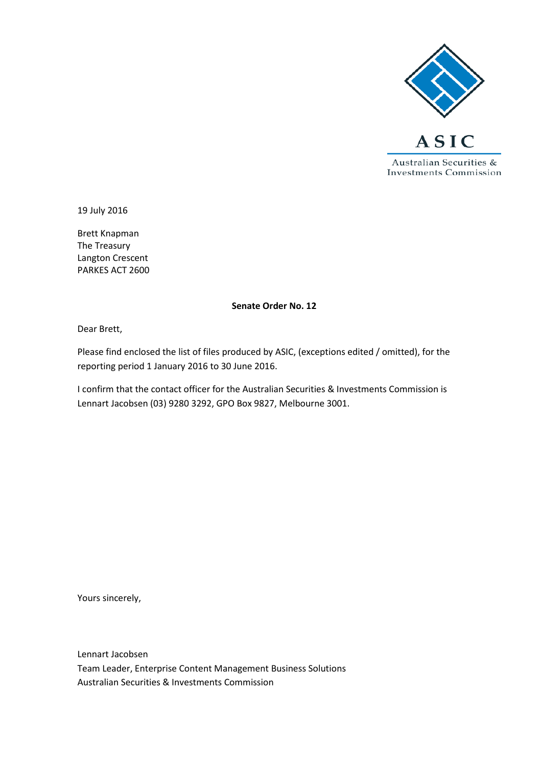

19 July 2016

Brett Knapman The Treasury Langton Crescent PARKES ACT 2600

#### **Senate Order No. 12**

Dear Brett,

Please find enclosed the list of files produced by ASIC, (exceptions edited / omitted), for the reporting period 1 January 2016 to 30 June 2016.

I confirm that the contact officer for the Australian Securities & Investments Commission is Lennart Jacobsen (03) 9280 3292, GPO Box 9827, Melbourne 3001.

Yours sincerely,

Lennart Jacobsen Team Leader, Enterprise Content Management Business Solutions Australian Securities & Investments Commission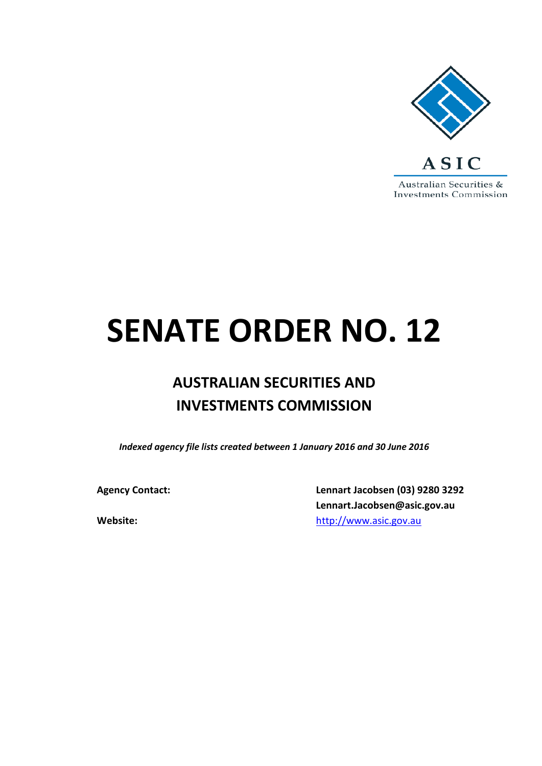

# **SENATE ORDER NO. 12**

## **AUSTRALIAN SECURITIES AND INVESTMENTS COMMISSION**

*Indexed agency file lists created between 1 January 2016 and 30 June 2016*

**Agency Contact: Lennart Jacobsen (03) 9280 3292 Lennart.Jacobsen@asic.gov.au Website:** [http://www.asic.gov.au](http://www.asic.gov.au/)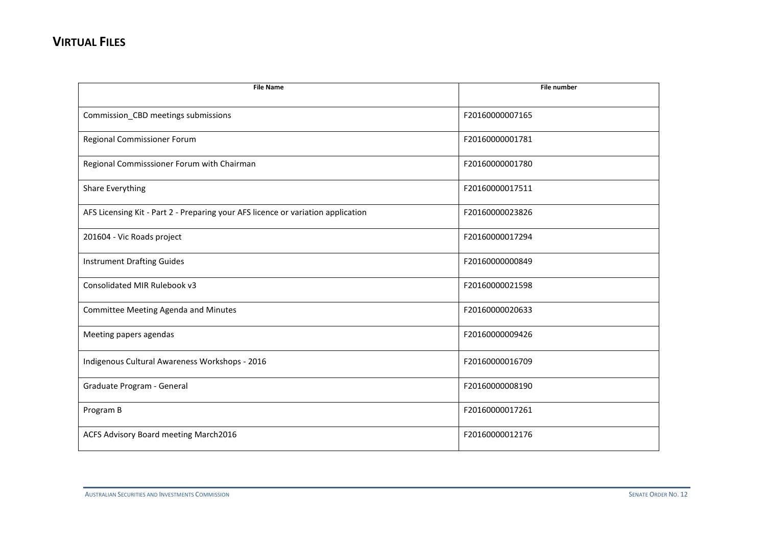| <b>File Name</b>                                                                 | <b>File number</b> |
|----------------------------------------------------------------------------------|--------------------|
|                                                                                  |                    |
| Commission_CBD meetings submissions                                              | F20160000007165    |
| Regional Commissioner Forum                                                      | F20160000001781    |
| Regional Commisssioner Forum with Chairman                                       | F20160000001780    |
| Share Everything                                                                 | F20160000017511    |
| AFS Licensing Kit - Part 2 - Preparing your AFS licence or variation application | F20160000023826    |
| 201604 - Vic Roads project                                                       | F20160000017294    |
| <b>Instrument Drafting Guides</b>                                                | F20160000000849    |
| Consolidated MIR Rulebook v3                                                     | F20160000021598    |
| Committee Meeting Agenda and Minutes                                             | F20160000020633    |
| Meeting papers agendas                                                           | F20160000009426    |
| Indigenous Cultural Awareness Workshops - 2016                                   | F20160000016709    |
| Graduate Program - General                                                       | F20160000008190    |
| Program B                                                                        | F20160000017261    |
| ACFS Advisory Board meeting March2016                                            | F20160000012176    |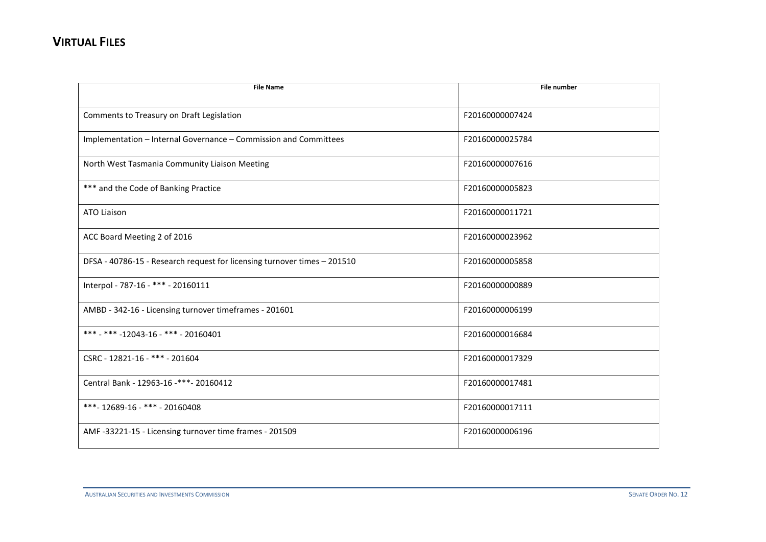| <b>File Name</b>                                                         | <b>File number</b> |
|--------------------------------------------------------------------------|--------------------|
|                                                                          |                    |
| Comments to Treasury on Draft Legislation                                | F20160000007424    |
| Implementation - Internal Governance - Commission and Committees         | F20160000025784    |
| North West Tasmania Community Liaison Meeting                            | F20160000007616    |
| *** and the Code of Banking Practice                                     | F20160000005823    |
| <b>ATO Liaison</b>                                                       | F20160000011721    |
| ACC Board Meeting 2 of 2016                                              | F20160000023962    |
| DFSA - 40786-15 - Research request for licensing turnover times - 201510 | F20160000005858    |
| Interpol - 787-16 - *** - 20160111                                       | F20160000000889    |
| AMBD - 342-16 - Licensing turnover timeframes - 201601                   | F20160000006199    |
| *** - *** -12043-16 - *** - 20160401                                     | F20160000016684    |
| CSRC - 12821-16 - *** - 201604                                           | F20160000017329    |
| Central Bank - 12963-16 -***- 20160412                                   | F20160000017481    |
| ***- 12689-16 - *** - 20160408                                           | F20160000017111    |
| AMF -33221-15 - Licensing turnover time frames - 201509                  | F20160000006196    |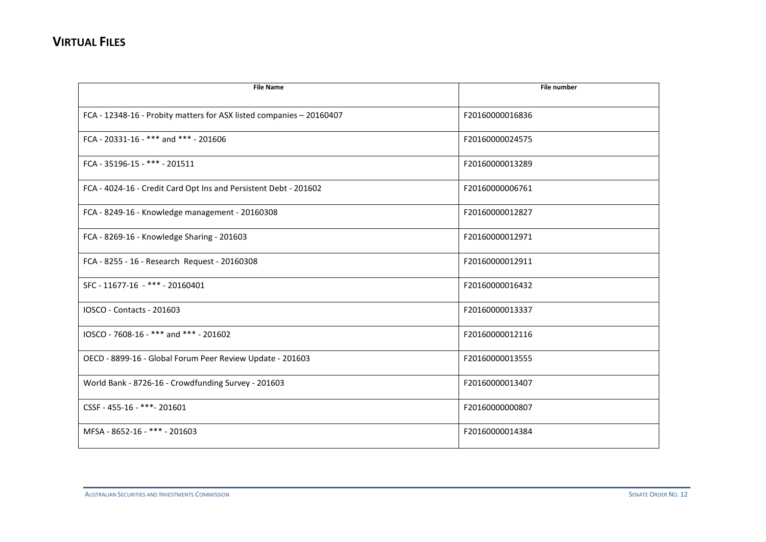| <b>File Name</b>                                                     | <b>File number</b> |
|----------------------------------------------------------------------|--------------------|
| FCA - 12348-16 - Probity matters for ASX listed companies - 20160407 | F20160000016836    |
| FCA - 20331-16 - *** and *** - 201606                                | F20160000024575    |
| FCA - 35196-15 - *** - 201511                                        | F20160000013289    |
| FCA - 4024-16 - Credit Card Opt Ins and Persistent Debt - 201602     | F20160000006761    |
| FCA - 8249-16 - Knowledge management - 20160308                      | F20160000012827    |
| FCA - 8269-16 - Knowledge Sharing - 201603                           | F20160000012971    |
| FCA - 8255 - 16 - Research Request - 20160308                        | F20160000012911    |
| SFC - 11677-16 - *** - 20160401                                      | F20160000016432    |
| IOSCO - Contacts - 201603                                            | F20160000013337    |
| IOSCO - 7608-16 - *** and *** - 201602                               | F20160000012116    |
| OECD - 8899-16 - Global Forum Peer Review Update - 201603            | F20160000013555    |
| World Bank - 8726-16 - Crowdfunding Survey - 201603                  | F20160000013407    |
| CSSF - 455-16 - ***- 201601                                          | F20160000000807    |
| MFSA - 8652-16 - *** - 201603                                        | F20160000014384    |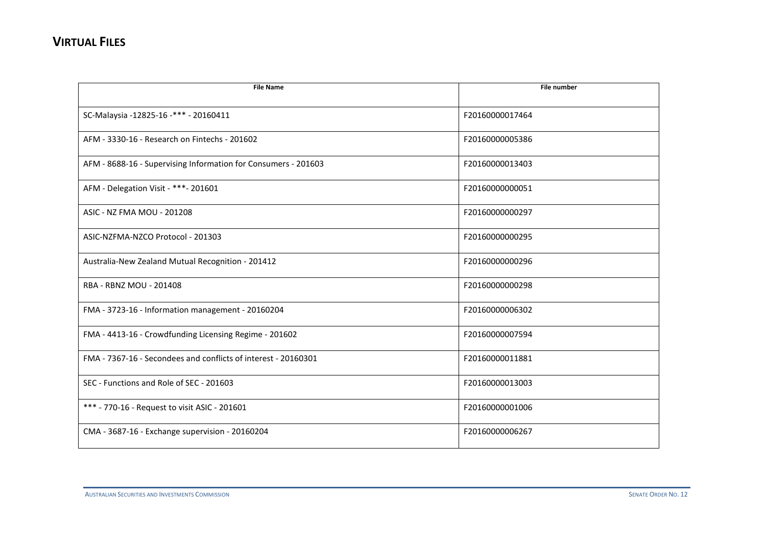| <b>File Name</b>                                               | <b>File number</b> |
|----------------------------------------------------------------|--------------------|
|                                                                |                    |
| SC-Malaysia -12825-16 -*** - 20160411                          | F20160000017464    |
| AFM - 3330-16 - Research on Fintechs - 201602                  | F20160000005386    |
| AFM - 8688-16 - Supervising Information for Consumers - 201603 | F20160000013403    |
| AFM - Delegation Visit - ***- 201601                           | F20160000000051    |
| ASIC - NZ FMA MOU - 201208                                     | F20160000000297    |
| ASIC-NZFMA-NZCO Protocol - 201303                              | F20160000000295    |
| Australia-New Zealand Mutual Recognition - 201412              | F20160000000296    |
| <b>RBA - RBNZ MOU - 201408</b>                                 | F20160000000298    |
| FMA - 3723-16 - Information management - 20160204              | F20160000006302    |
| FMA - 4413-16 - Crowdfunding Licensing Regime - 201602         | F20160000007594    |
| FMA - 7367-16 - Secondees and conflicts of interest - 20160301 | F20160000011881    |
| SEC - Functions and Role of SEC - 201603                       | F20160000013003    |
| *** - 770-16 - Request to visit ASIC - 201601                  | F20160000001006    |
| CMA - 3687-16 - Exchange supervision - 20160204                | F20160000006267    |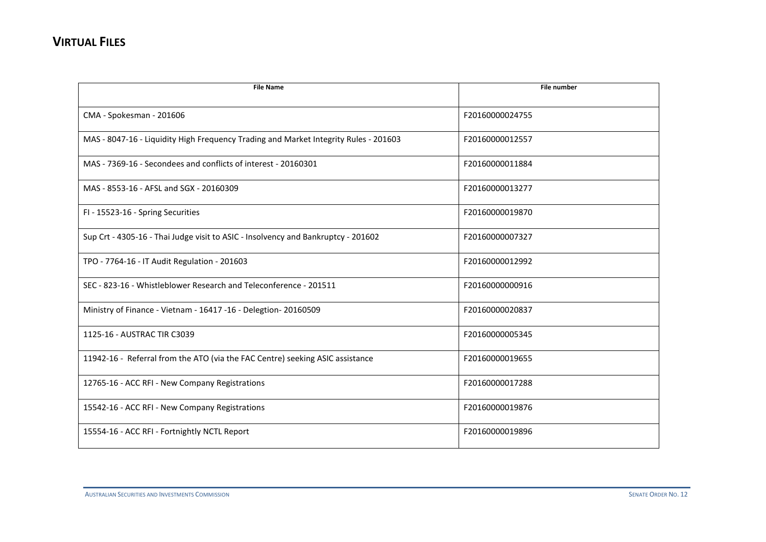| <b>File Name</b>                                                                     | <b>File number</b> |
|--------------------------------------------------------------------------------------|--------------------|
|                                                                                      |                    |
| CMA - Spokesman - 201606                                                             | F20160000024755    |
| MAS - 8047-16 - Liquidity High Frequency Trading and Market Integrity Rules - 201603 | F20160000012557    |
| MAS - 7369-16 - Secondees and conflicts of interest - 20160301                       | F20160000011884    |
| MAS - 8553-16 - AFSL and SGX - 20160309                                              | F20160000013277    |
| FI - 15523-16 - Spring Securities                                                    | F20160000019870    |
| Sup Crt - 4305-16 - Thai Judge visit to ASIC - Insolvency and Bankruptcy - 201602    | F20160000007327    |
| TPO - 7764-16 - IT Audit Regulation - 201603                                         | F20160000012992    |
| SEC - 823-16 - Whistleblower Research and Teleconference - 201511                    | F20160000000916    |
| Ministry of Finance - Vietnam - 16417 -16 - Delegtion- 20160509                      | F20160000020837    |
| 1125-16 - AUSTRAC TIR C3039                                                          | F20160000005345    |
| 11942-16 - Referral from the ATO (via the FAC Centre) seeking ASIC assistance        | F20160000019655    |
| 12765-16 - ACC RFI - New Company Registrations                                       | F20160000017288    |
| 15542-16 - ACC RFI - New Company Registrations                                       | F20160000019876    |
| 15554-16 - ACC RFI - Fortnightly NCTL Report                                         | F20160000019896    |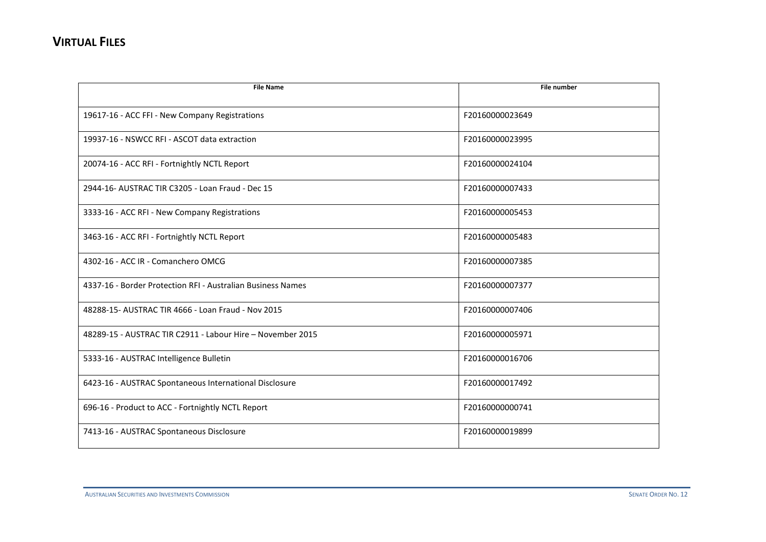| <b>File Name</b>                                            | <b>File number</b> |
|-------------------------------------------------------------|--------------------|
|                                                             |                    |
| 19617-16 - ACC FFI - New Company Registrations              | F20160000023649    |
| 19937-16 - NSWCC RFI - ASCOT data extraction                | F20160000023995    |
| 20074-16 - ACC RFI - Fortnightly NCTL Report                | F20160000024104    |
| 2944-16- AUSTRAC TIR C3205 - Loan Fraud - Dec 15            | F20160000007433    |
| 3333-16 - ACC RFI - New Company Registrations               | F20160000005453    |
| 3463-16 - ACC RFI - Fortnightly NCTL Report                 | F20160000005483    |
| 4302-16 - ACC IR - Comanchero OMCG                          | F20160000007385    |
| 4337-16 - Border Protection RFI - Australian Business Names | F20160000007377    |
| 48288-15- AUSTRAC TIR 4666 - Loan Fraud - Nov 2015          | F20160000007406    |
| 48289-15 - AUSTRAC TIR C2911 - Labour Hire - November 2015  | F20160000005971    |
| 5333-16 - AUSTRAC Intelligence Bulletin                     | F20160000016706    |
| 6423-16 - AUSTRAC Spontaneous International Disclosure      | F20160000017492    |
| 696-16 - Product to ACC - Fortnightly NCTL Report           | F20160000000741    |
| 7413-16 - AUSTRAC Spontaneous Disclosure                    | F20160000019899    |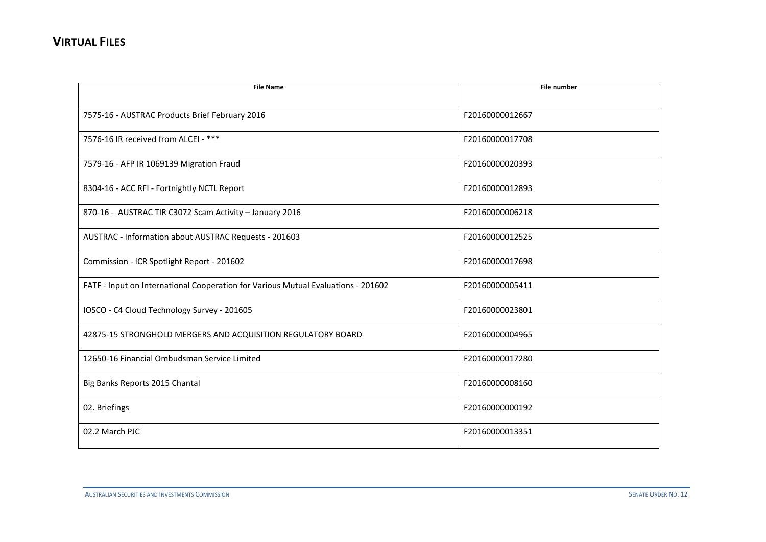| <b>File Name</b>                                                                  | <b>File number</b> |
|-----------------------------------------------------------------------------------|--------------------|
|                                                                                   |                    |
| 7575-16 - AUSTRAC Products Brief February 2016                                    | F20160000012667    |
| 7576-16 IR received from ALCEI - ***                                              | F20160000017708    |
| 7579-16 - AFP IR 1069139 Migration Fraud                                          | F20160000020393    |
| 8304-16 - ACC RFI - Fortnightly NCTL Report                                       | F20160000012893    |
| 870-16 - AUSTRAC TIR C3072 Scam Activity - January 2016                           | F20160000006218    |
| AUSTRAC - Information about AUSTRAC Requests - 201603                             | F20160000012525    |
| Commission - ICR Spotlight Report - 201602                                        | F20160000017698    |
| FATF - Input on International Cooperation for Various Mutual Evaluations - 201602 | F20160000005411    |
| IOSCO - C4 Cloud Technology Survey - 201605                                       | F20160000023801    |
| 42875-15 STRONGHOLD MERGERS AND ACQUISITION REGULATORY BOARD                      | F20160000004965    |
| 12650-16 Financial Ombudsman Service Limited                                      | F20160000017280    |
| Big Banks Reports 2015 Chantal                                                    | F20160000008160    |
| 02. Briefings                                                                     | F20160000000192    |
| 02.2 March PJC                                                                    | F20160000013351    |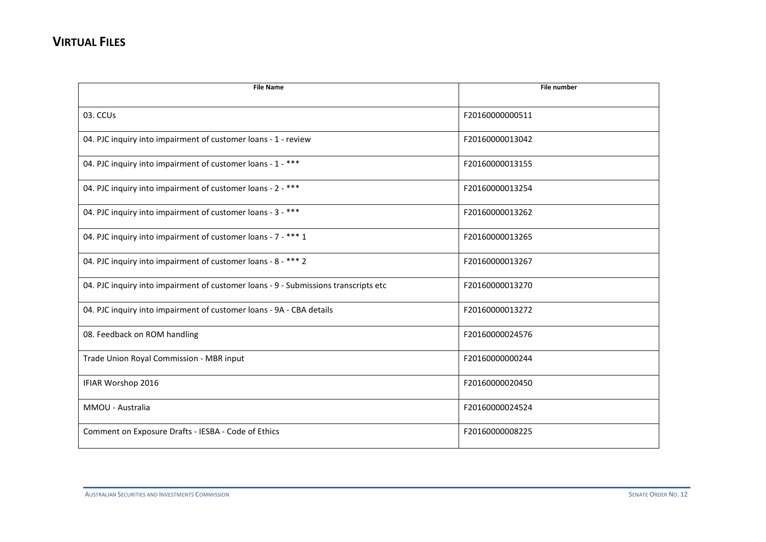| <b>File Name</b>                                                                    | <b>File number</b> |
|-------------------------------------------------------------------------------------|--------------------|
| 03. CCUs                                                                            | F20160000000511    |
| 04. PJC inquiry into impairment of customer loans - 1 - review                      | F20160000013042    |
| 04. PJC inquiry into impairment of customer loans - 1 - ***                         | F20160000013155    |
| 04. PJC inquiry into impairment of customer loans - 2 - ***                         | F20160000013254    |
| 04. PJC inquiry into impairment of customer loans - 3 - ***                         | F20160000013262    |
| 04. PJC inquiry into impairment of customer loans - 7 - *** 1                       | F20160000013265    |
| 04. PJC inquiry into impairment of customer loans - 8 - *** 2                       | F20160000013267    |
| 04. PJC inquiry into impairment of customer loans - 9 - Submissions transcripts etc | F20160000013270    |
| 04. PJC inquiry into impairment of customer loans - 9A - CBA details                | F20160000013272    |
| 08. Feedback on ROM handling                                                        | F20160000024576    |
| Trade Union Royal Commission - MBR input                                            | F20160000000244    |
| IFIAR Worshop 2016                                                                  | F20160000020450    |
| MMOU - Australia                                                                    | F20160000024524    |
| Comment on Exposure Drafts - IESBA - Code of Ethics                                 | F20160000008225    |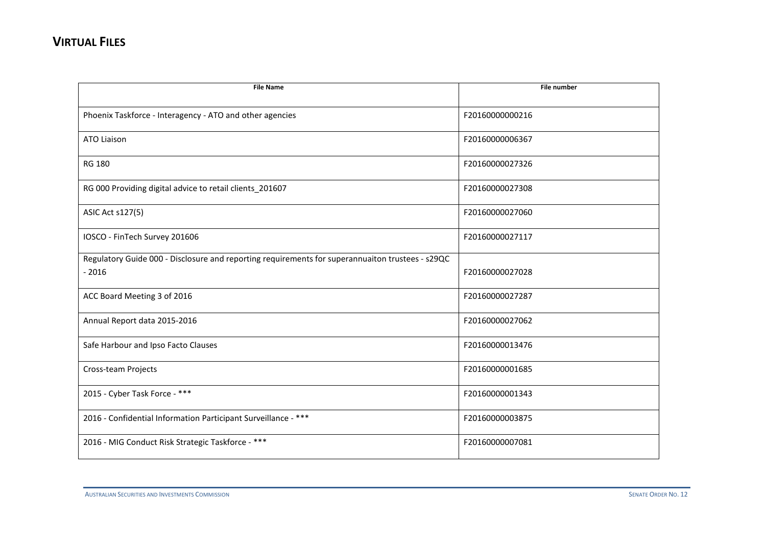| <b>File Name</b>                                                                                            | <b>File number</b> |
|-------------------------------------------------------------------------------------------------------------|--------------------|
| Phoenix Taskforce - Interagency - ATO and other agencies                                                    | F20160000000216    |
| <b>ATO Liaison</b>                                                                                          | F20160000006367    |
| <b>RG 180</b>                                                                                               | F20160000027326    |
| RG 000 Providing digital advice to retail clients_201607                                                    | F20160000027308    |
| <b>ASIC Act s127(5)</b>                                                                                     | F20160000027060    |
| IOSCO - FinTech Survey 201606                                                                               | F20160000027117    |
| Regulatory Guide 000 - Disclosure and reporting requirements for superannuaiton trustees - s29QC<br>$-2016$ | F20160000027028    |
| ACC Board Meeting 3 of 2016                                                                                 | F20160000027287    |
| Annual Report data 2015-2016                                                                                | F20160000027062    |
| Safe Harbour and Ipso Facto Clauses                                                                         | F20160000013476    |
| Cross-team Projects                                                                                         | F20160000001685    |
| 2015 - Cyber Task Force - ***                                                                               | F20160000001343    |
| 2016 - Confidential Information Participant Surveillance - ***                                              | F20160000003875    |
| 2016 - MIG Conduct Risk Strategic Taskforce - ***                                                           | F20160000007081    |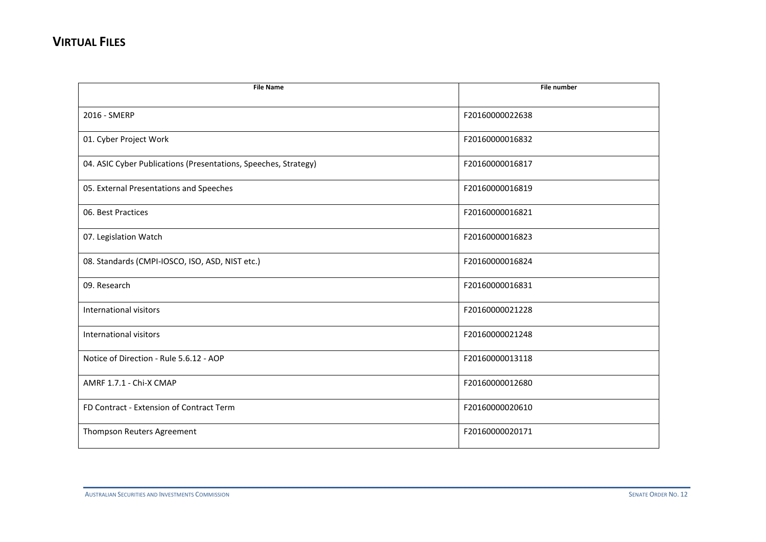| <b>File Name</b>                                                | File number     |
|-----------------------------------------------------------------|-----------------|
|                                                                 |                 |
| 2016 - SMERP                                                    | F20160000022638 |
| 01. Cyber Project Work                                          | F20160000016832 |
| 04. ASIC Cyber Publications (Presentations, Speeches, Strategy) | F20160000016817 |
| 05. External Presentations and Speeches                         | F20160000016819 |
| 06. Best Practices                                              | F20160000016821 |
| 07. Legislation Watch                                           | F20160000016823 |
| 08. Standards (CMPI-IOSCO, ISO, ASD, NIST etc.)                 | F20160000016824 |
| 09. Research                                                    | F20160000016831 |
| International visitors                                          | F20160000021228 |
| International visitors                                          | F20160000021248 |
| Notice of Direction - Rule 5.6.12 - AOP                         | F20160000013118 |
| AMRF 1.7.1 - Chi-X CMAP                                         | F20160000012680 |
| FD Contract - Extension of Contract Term                        | F20160000020610 |
| Thompson Reuters Agreement                                      | F20160000020171 |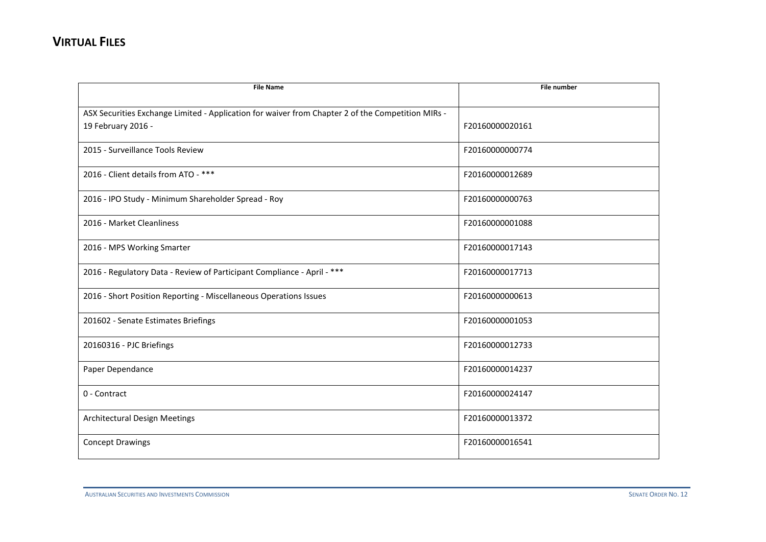| <b>File Name</b>                                                                                                        | <b>File number</b> |
|-------------------------------------------------------------------------------------------------------------------------|--------------------|
| ASX Securities Exchange Limited - Application for waiver from Chapter 2 of the Competition MIRs -<br>19 February 2016 - | F20160000020161    |
| 2015 - Surveillance Tools Review                                                                                        | F20160000000774    |
| 2016 - Client details from ATO - ***                                                                                    | F20160000012689    |
| 2016 - IPO Study - Minimum Shareholder Spread - Roy                                                                     | F20160000000763    |
| 2016 - Market Cleanliness                                                                                               | F20160000001088    |
| 2016 - MPS Working Smarter                                                                                              | F20160000017143    |
| 2016 - Regulatory Data - Review of Participant Compliance - April - ***                                                 | F20160000017713    |
| 2016 - Short Position Reporting - Miscellaneous Operations Issues                                                       | F20160000000613    |
| 201602 - Senate Estimates Briefings                                                                                     | F20160000001053    |
| 20160316 - PJC Briefings                                                                                                | F20160000012733    |
| Paper Dependance                                                                                                        | F20160000014237    |
| 0 - Contract                                                                                                            | F20160000024147    |
| <b>Architectural Design Meetings</b>                                                                                    | F20160000013372    |
| <b>Concept Drawings</b>                                                                                                 | F20160000016541    |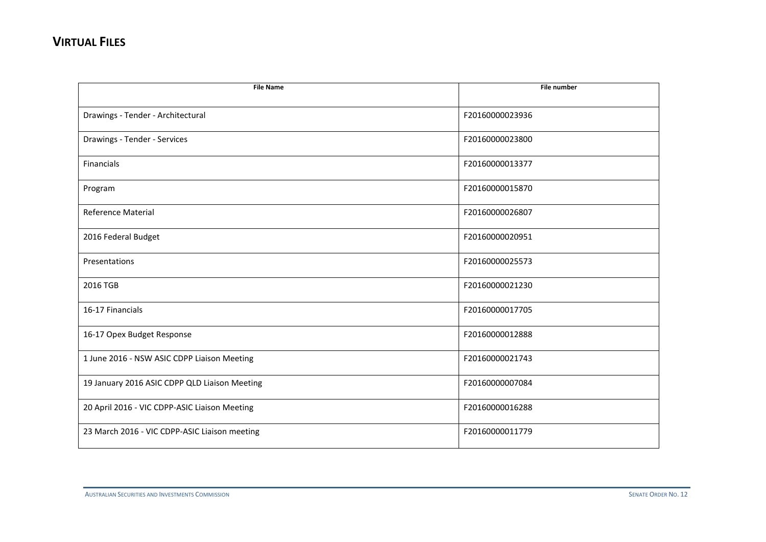| <b>File Name</b>                              | <b>File number</b> |
|-----------------------------------------------|--------------------|
|                                               |                    |
| Drawings - Tender - Architectural             | F20160000023936    |
| Drawings - Tender - Services                  | F20160000023800    |
| Financials                                    | F20160000013377    |
| Program                                       | F20160000015870    |
| Reference Material                            | F20160000026807    |
| 2016 Federal Budget                           | F20160000020951    |
| Presentations                                 | F20160000025573    |
| 2016 TGB                                      | F20160000021230    |
| 16-17 Financials                              | F20160000017705    |
| 16-17 Opex Budget Response                    | F20160000012888    |
| 1 June 2016 - NSW ASIC CDPP Liaison Meeting   | F20160000021743    |
| 19 January 2016 ASIC CDPP QLD Liaison Meeting | F20160000007084    |
| 20 April 2016 - VIC CDPP-ASIC Liaison Meeting | F20160000016288    |
| 23 March 2016 - VIC CDPP-ASIC Liaison meeting | F20160000011779    |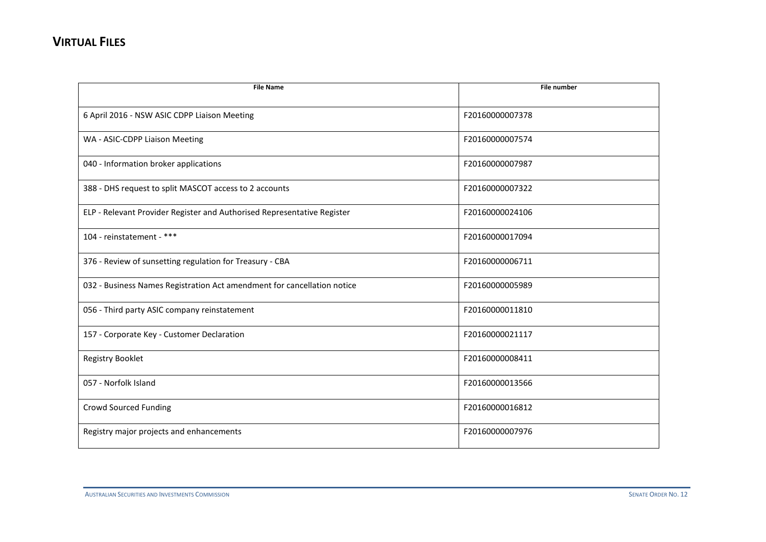| <b>File Name</b>                                                        | <b>File number</b> |
|-------------------------------------------------------------------------|--------------------|
|                                                                         |                    |
| 6 April 2016 - NSW ASIC CDPP Liaison Meeting                            | F20160000007378    |
| WA - ASIC-CDPP Liaison Meeting                                          | F20160000007574    |
| 040 - Information broker applications                                   | F20160000007987    |
| 388 - DHS request to split MASCOT access to 2 accounts                  | F20160000007322    |
| ELP - Relevant Provider Register and Authorised Representative Register | F20160000024106    |
| 104 - reinstatement - ***                                               | F20160000017094    |
| 376 - Review of sunsetting regulation for Treasury - CBA                | F20160000006711    |
| 032 - Business Names Registration Act amendment for cancellation notice | F20160000005989    |
| 056 - Third party ASIC company reinstatement                            | F20160000011810    |
| 157 - Corporate Key - Customer Declaration                              | F20160000021117    |
| Registry Booklet                                                        | F20160000008411    |
| 057 - Norfolk Island                                                    | F20160000013566    |
| <b>Crowd Sourced Funding</b>                                            | F20160000016812    |
| Registry major projects and enhancements                                | F20160000007976    |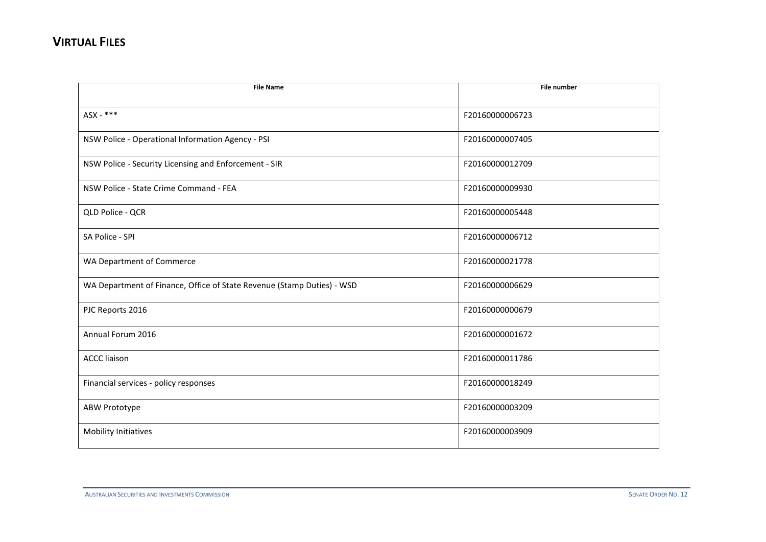| <b>File Name</b>                                                       | File number     |
|------------------------------------------------------------------------|-----------------|
|                                                                        |                 |
| ASX - ***                                                              | F20160000006723 |
| NSW Police - Operational Information Agency - PSI                      | F20160000007405 |
| NSW Police - Security Licensing and Enforcement - SIR                  | F20160000012709 |
| NSW Police - State Crime Command - FEA                                 | F20160000009930 |
| QLD Police - QCR                                                       | F20160000005448 |
| SA Police - SPI                                                        | F20160000006712 |
| WA Department of Commerce                                              | F20160000021778 |
| WA Department of Finance, Office of State Revenue (Stamp Duties) - WSD | F20160000006629 |
| PJC Reports 2016                                                       | F20160000000679 |
| Annual Forum 2016                                                      | F20160000001672 |
| <b>ACCC liaison</b>                                                    | F20160000011786 |
| Financial services - policy responses                                  | F20160000018249 |
| ABW Prototype                                                          | F20160000003209 |
| Mobility Initiatives                                                   | F20160000003909 |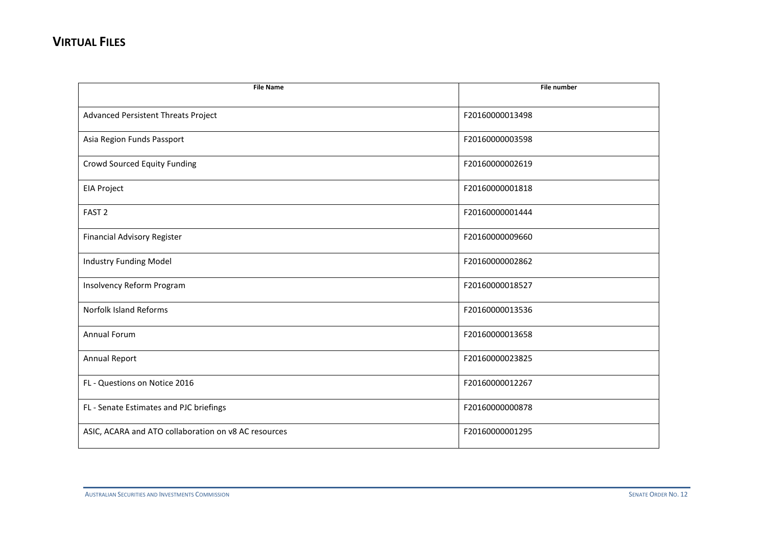| <b>File Name</b>                                     | File number     |
|------------------------------------------------------|-----------------|
|                                                      |                 |
| Advanced Persistent Threats Project                  | F20160000013498 |
| Asia Region Funds Passport                           | F20160000003598 |
| Crowd Sourced Equity Funding                         | F20160000002619 |
| <b>EIA Project</b>                                   | F20160000001818 |
| FAST <sub>2</sub>                                    | F20160000001444 |
| <b>Financial Advisory Register</b>                   | F20160000009660 |
| <b>Industry Funding Model</b>                        | F20160000002862 |
| Insolvency Reform Program                            | F20160000018527 |
| <b>Norfolk Island Reforms</b>                        | F20160000013536 |
| <b>Annual Forum</b>                                  | F20160000013658 |
| <b>Annual Report</b>                                 | F20160000023825 |
| FL - Questions on Notice 2016                        | F20160000012267 |
| FL - Senate Estimates and PJC briefings              | F20160000000878 |
| ASIC, ACARA and ATO collaboration on v8 AC resources | F20160000001295 |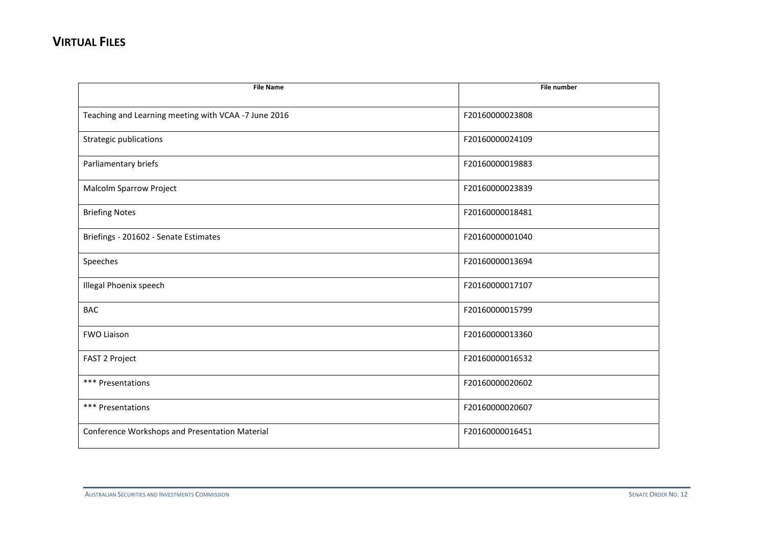| <b>File Name</b>                                     | <b>File number</b> |
|------------------------------------------------------|--------------------|
|                                                      |                    |
| Teaching and Learning meeting with VCAA -7 June 2016 | F20160000023808    |
| Strategic publications                               | F20160000024109    |
| Parliamentary briefs                                 | F20160000019883    |
| Malcolm Sparrow Project                              | F20160000023839    |
| <b>Briefing Notes</b>                                | F20160000018481    |
| Briefings - 201602 - Senate Estimates                | F20160000001040    |
| Speeches                                             | F20160000013694    |
| <b>Illegal Phoenix speech</b>                        | F20160000017107    |
| <b>BAC</b>                                           | F20160000015799    |
| <b>FWO Liaison</b>                                   | F20160000013360    |
| FAST 2 Project                                       | F20160000016532    |
| *** Presentations                                    | F20160000020602    |
| *** Presentations                                    | F20160000020607    |
| Conference Workshops and Presentation Material       | F20160000016451    |